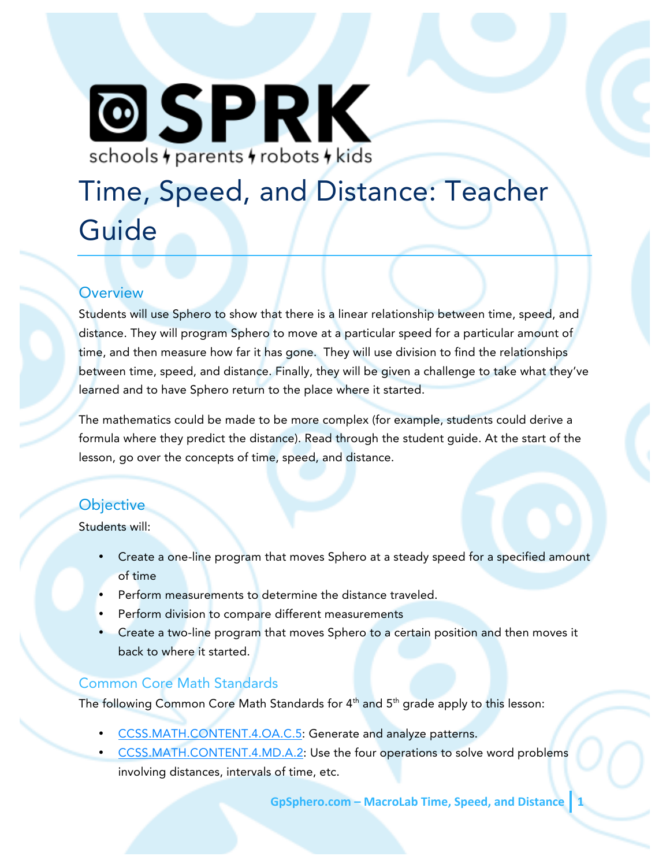# **@SPRK** schools + parents + robots + kids

# Time, Speed, and Distance: Teacher Guide

#### **Overview**

Students will use Sphero to show that there is a linear relationship between time, speed, and distance. They will program Sphero to move at a particular speed for a particular amount of time, and then measure how far it has gone. They will use division to find the relationships between time, speed, and distance. Finally, they will be given a challenge to take what they've learned and to have Sphero return to the place where it started.

The mathematics could be made to be more complex (for example, students could derive a formula where they predict the distance). Read through the student guide. At the start of the lesson, go over the concepts of time, speed, and distance.

# **Objective**

Students will:

- Create a one-line program that moves Sphero at a steady speed for a specified amount of time
- Perform measurements to determine the distance traveled.
- Perform division to compare different measurements
- Create a two-line program that moves Sphero to a certain position and then moves it back to where it started.

# Common Core Math Standards

The following Common Core Math Standards for  $4<sup>th</sup>$  and  $5<sup>th</sup>$  grade apply to this lesson:

- CCSS.MATH.CONTENT.4.OA.C.5: Generate and analyze patterns.
- CCSS.MATH.CONTENT.4.MD.A.2: Use the four operations to solve word problems involving distances, intervals of time, etc.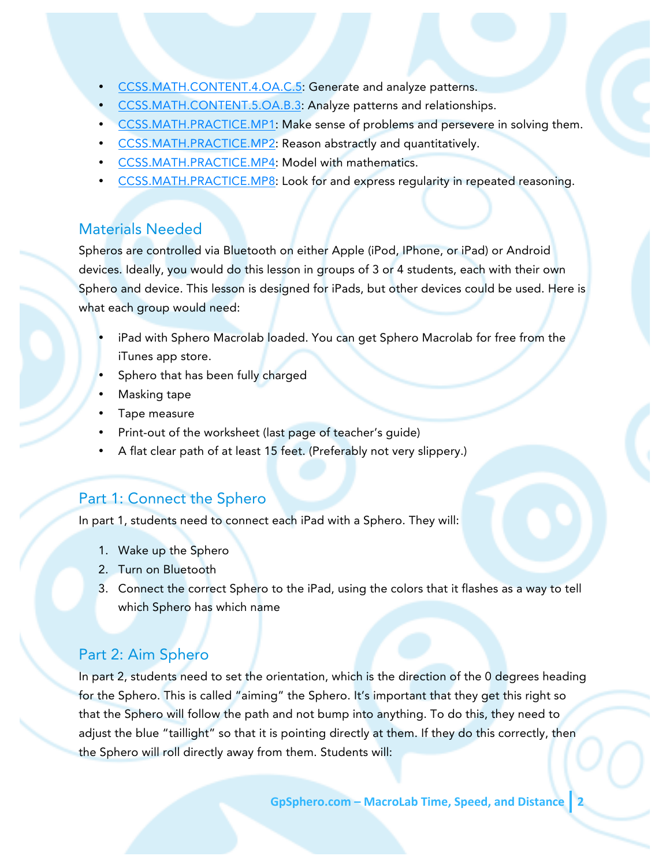- CCSS.MATH.CONTENT.4.OA.C.5: Generate and analyze patterns.
- CCSS.MATH.CONTENT.5.OA.B.3: Analyze patterns and relationships.
- CCSS.MATH.PRACTICE.MP1: Make sense of problems and persevere in solving them.
- CCSS.MATH.PRACTICE.MP2: Reason abstractly and quantitatively.
- CCSS.MATH.PRACTICE.MP4: Model with mathematics.
- CCSS.MATH.PRACTICE.MP8: Look for and express regularity in repeated reasoning.

#### Materials Needed

Spheros are controlled via Bluetooth on either Apple (iPod, IPhone, or iPad) or Android devices. Ideally, you would do this lesson in groups of 3 or 4 students, each with their own Sphero and device. This lesson is designed for iPads, but other devices could be used. Here is what each group would need:

- iPad with Sphero Macrolab loaded. You can get Sphero Macrolab for free from the iTunes app store.
- Sphero that has been fully charged
- Masking tape
- Tape measure
- Print-out of the worksheet (last page of teacher's guide)
- A flat clear path of at least 15 feet. (Preferably not very slippery.)

#### Part 1: Connect the Sphero

In part 1, students need to connect each iPad with a Sphero. They will:

- 1. Wake up the Sphero
- 2. Turn on Bluetooth
- 3. Connect the correct Sphero to the iPad, using the colors that it flashes as a way to tell which Sphero has which name

#### Part 2: Aim Sphero

In part 2, students need to set the orientation, which is the direction of the 0 degrees heading for the Sphero. This is called "aiming" the Sphero. It's important that they get this right so that the Sphero will follow the path and not bump into anything. To do this, they need to adjust the blue "taillight" so that it is pointing directly at them. If they do this correctly, then the Sphero will roll directly away from them. Students will: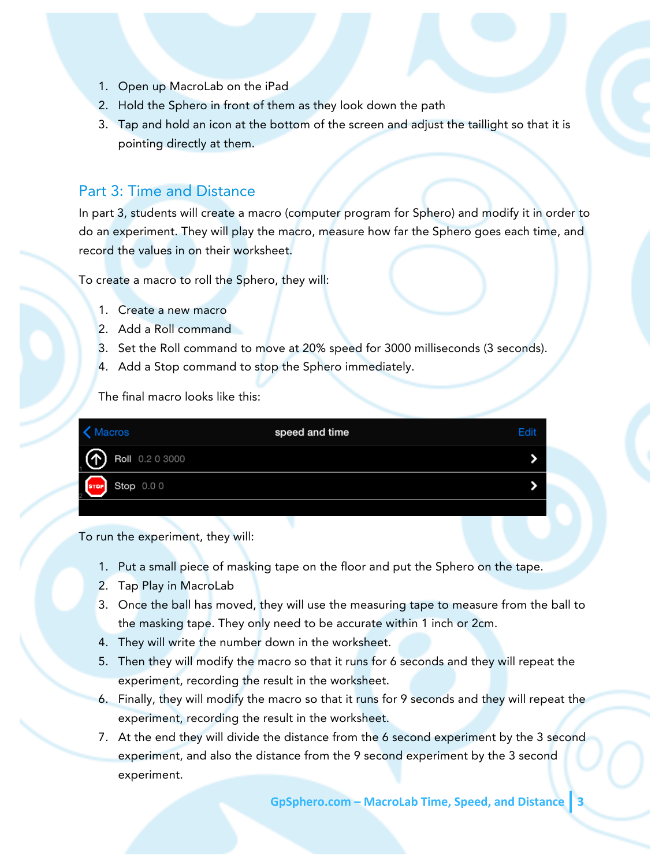- 1. Open up MacroLab on the iPad
- 2. Hold the Sphero in front of them as they look down the path
- 3. Tap and hold an icon at the bottom of the screen and adjust the taillight so that it is pointing directly at them.

### Part 3: Time and Distance

In part 3, students will create a macro (computer program for Sphero) and modify it in order to do an experiment. They will play the macro, measure how far the Sphero goes each time, and record the values in on their worksheet.

To create a macro to roll the Sphero, they will:

- 1. Create a new macro
- 2. Add a Roll command
- 3. Set the Roll command to move at 20% speed for 3000 milliseconds (3 seconds).
- 4. Add a Stop command to stop the Sphero immediately.

The final macro looks like this:

| Macros                            | speed and time | Edit |
|-----------------------------------|----------------|------|
| $\circledcirc$<br>Roll 0.2 0 3000 |                |      |
| stop 0.0 0                        |                |      |
|                                   |                |      |

To run the experiment, they will:

- 1. Put a small piece of masking tape on the floor and put the Sphero on the tape.
- 2. Tap Play in MacroLab
- 3. Once the ball has moved, they will use the measuring tape to measure from the ball to the masking tape. They only need to be accurate within 1 inch or 2cm.
- 4. They will write the number down in the worksheet.
- 5. Then they will modify the macro so that it runs for 6 seconds and they will repeat the experiment, recording the result in the worksheet.
- 6. Finally, they will modify the macro so that it runs for 9 seconds and they will repeat the experiment, recording the result in the worksheet.
- 7. At the end they will divide the distance from the 6 second experiment by the 3 second experiment, and also the distance from the 9 second experiment by the 3 second experiment.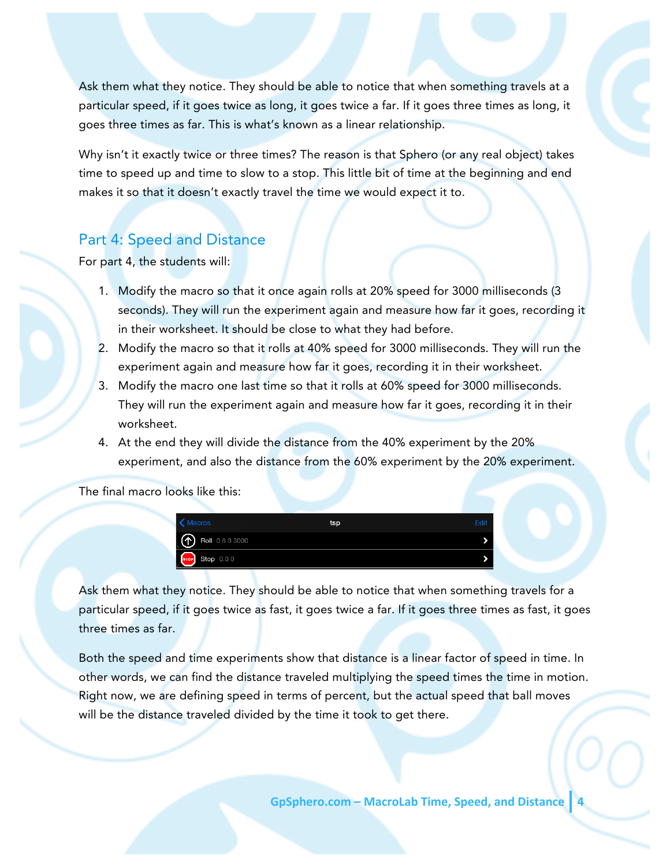Ask them what they notice. They should be able to notice that when something travels at a particular speed, if it goes twice as long, it goes twice a far. If it goes three times as long, it goes three times as far. This is what's known as a linear relationship.

Why isn't it exactly twice or three times? The reason is that Sphero (or any real object) takes time to speed up and time to slow to a stop. This little bit of time at the beginning and end makes it so that it doesn't exactly travel the time we would expect it to.

#### Part 4: Speed and Distance

For part 4, the students will:

- 1. Modify the macro so that it once again rolls at 20% speed for 3000 milliseconds (3 seconds). They will run the experiment again and measure how far it goes, recording it in their worksheet. It should be close to what they had before.
- 2. Modify the macro so that it rolls at 40% speed for 3000 milliseconds. They will run the experiment again and measure how far it goes, recording it in their worksheet.
- 3. Modify the macro one last time so that it rolls at 60% speed for 3000 milliseconds. They will run the experiment again and measure how far it goes, recording it in their worksheet.
- 4. At the end they will divide the distance from the 40% experiment by the 20% experiment, and also the distance from the 60% experiment by the 20% experiment.

The final macro looks like this:



Ask them what they notice. They should be able to notice that when something travels for a particular speed, if it goes twice as fast, it goes twice a far. If it goes three times as fast, it goes three times as far.

Both the speed and time experiments show that distance is a linear factor of speed in time. In other words, we can find the distance traveled multiplying the speed times the time in motion. Right now, we are defining speed in terms of percent, but the actual speed that ball moves will be the distance traveled divided by the time it took to get there.